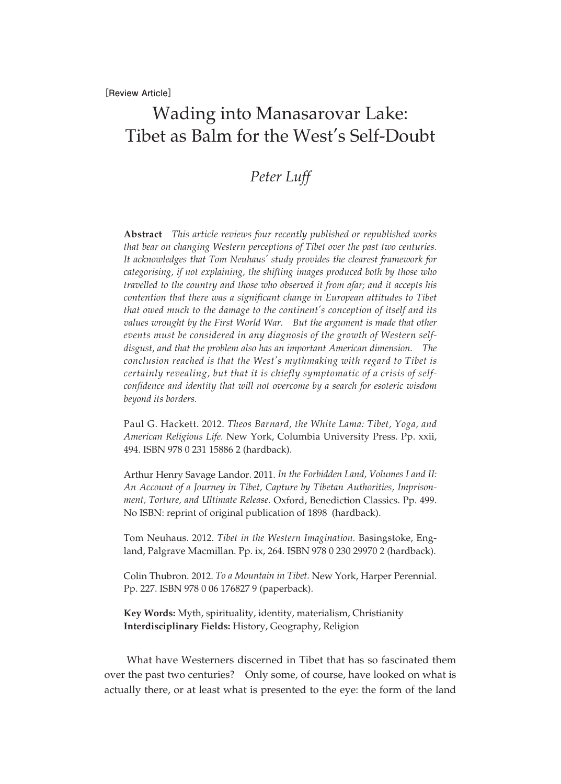# Wading into Manasarovar Lake: Tibet as Balm for the West's Self-Doubt

## *Peter Luff*

**Abstract** *This article reviews four recently published or republished works that bear on changing Western perceptions of Tibet over the past two centuries. It acknowledges that Tom Neuhaus' study provides the clearest framework for categorising, if not explaining, the shifting images produced both by those who travelled to the country and those who observed it from afar; and it accepts his contention that there was a significant change in European attitudes to Tibet that owed much to the damage to the continent's conception of itself and its*  values wrought by the First World War. But the argument is made that other *events must be considered in any diagnosis of the growth of Western selfdisgust, and that the problem also has an important American dimension. The conclusion reached is that the West's mythmaking with regard to Tibet is certainly revealing, but that it is chiefly symptomatic of a crisis of selfconfidence and identity that will not overcome by a search for esoteric wisdom beyond its borders.*

Paul G. Hackett. 2012. *Theos Barnard, the White Lama: Tibet, Yoga, and American Religious Life.* New York, Columbia University Press. Pp. xxii, 494. ISBN 978 0 231 15886 2 (hardback).

Arthur Henry Savage Landor. 2011. *In the Forbidden Land, Volumes I and II: An Account of a Journey in Tibet, Capture by Tibetan Authorities, Imprisonment, Torture, and Ultimate Release.* Oxford, Benediction Classics. Pp. 499. No ISBN: reprint of original publication of 1898 (hardback).

Tom Neuhaus. 2012. *Tibet in the Western Imagination.* Basingstoke, England, Palgrave Macmillan. Pp. ix, 264. ISBN 978 0 230 29970 2 (hardback).

Colin Thubron. 2012. *To a Mountain in Tibet.* New York, Harper Perennial. Pp. 227. ISBN 978 0 06 176827 9 (paperback).

**Key Words:** Myth, spirituality, identity, materialism, Christianity **Interdisciplinary Fields:** History, Geography, Religion

What have Westerners discerned in Tibet that has so fascinated them over the past two centuries? Only some, of course, have looked on what is actually there, or at least what is presented to the eye: the form of the land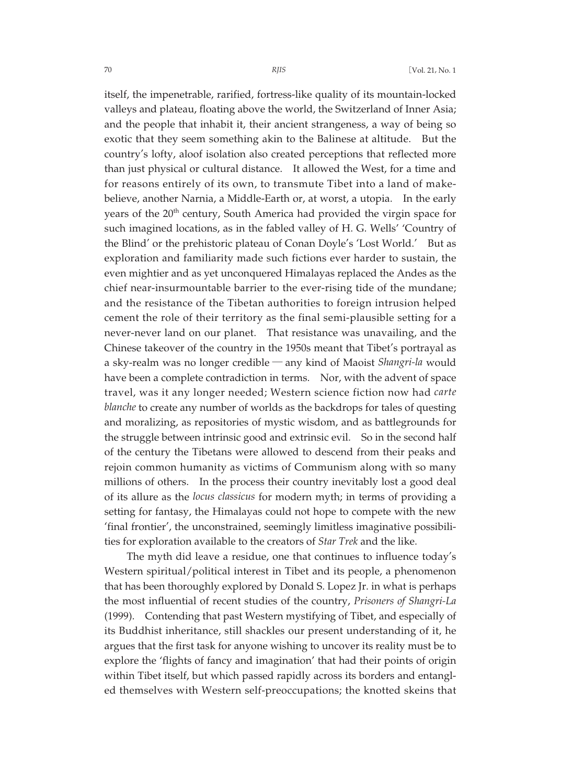itself, the impenetrable, rarified, fortress-like quality of its mountain-locked valleys and plateau, floating above the world, the Switzerland of Inner Asia; and the people that inhabit it, their ancient strangeness, a way of being so exotic that they seem something akin to the Balinese at altitude. But the country's lofty, aloof isolation also created perceptions that reflected more than just physical or cultural distance. It allowed the West, for a time and for reasons entirely of its own, to transmute Tibet into a land of makebelieve, another Narnia, a Middle-Earth or, at worst, a utopia. In the early years of the 20<sup>th</sup> century, South America had provided the virgin space for such imagined locations, as in the fabled valley of H. G. Wells' 'Country of the Blind' or the prehistoric plateau of Conan Doyle's 'Lost World.' But as exploration and familiarity made such fictions ever harder to sustain, the even mightier and as yet unconquered Himalayas replaced the Andes as the chief near-insurmountable barrier to the ever-rising tide of the mundane; and the resistance of the Tibetan authorities to foreign intrusion helped cement the role of their territory as the final semi-plausible setting for a never-never land on our planet. That resistance was unavailing, and the Chinese takeover of the country in the 1950s meant that Tibet's portrayal as a sky-realm was no longer credible ─ any kind of Maoist *Shangri-la* would have been a complete contradiction in terms. Nor, with the advent of space travel, was it any longer needed; Western science fiction now had *carte blanche* to create any number of worlds as the backdrops for tales of questing and moralizing, as repositories of mystic wisdom, and as battlegrounds for the struggle between intrinsic good and extrinsic evil. So in the second half of the century the Tibetans were allowed to descend from their peaks and rejoin common humanity as victims of Communism along with so many millions of others. In the process their country inevitably lost a good deal of its allure as the *locus classicus* for modern myth; in terms of providing a setting for fantasy, the Himalayas could not hope to compete with the new 'final frontier', the unconstrained, seemingly limitless imaginative possibilities for exploration available to the creators of *Star Trek* and the like.

The myth did leave a residue, one that continues to influence today's Western spiritual/political interest in Tibet and its people, a phenomenon that has been thoroughly explored by Donald S. Lopez Jr. in what is perhaps the most influential of recent studies of the country, *Prisoners of Shangri-La* (1999). Contending that past Western mystifying of Tibet, and especially of its Buddhist inheritance, still shackles our present understanding of it, he argues that the first task for anyone wishing to uncover its reality must be to explore the 'flights of fancy and imagination' that had their points of origin within Tibet itself, but which passed rapidly across its borders and entangled themselves with Western self-preoccupations; the knotted skeins that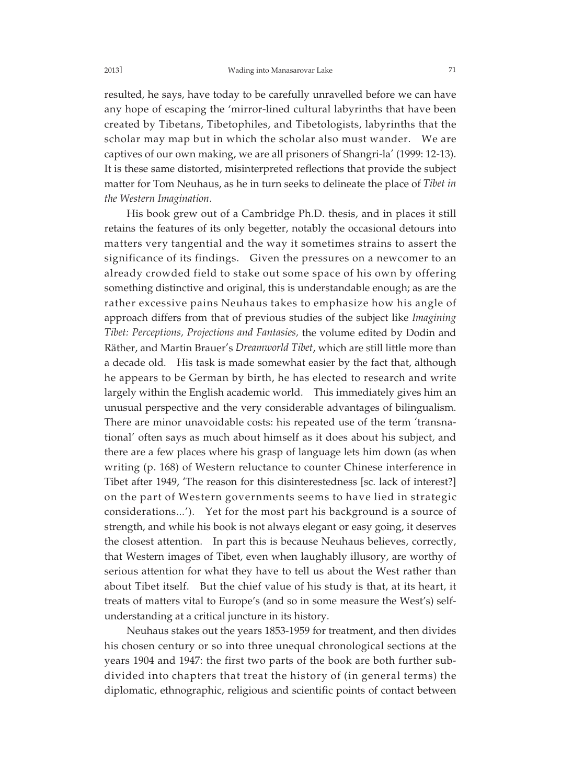resulted, he says, have today to be carefully unravelled before we can have any hope of escaping the 'mirror-lined cultural labyrinths that have been created by Tibetans, Tibetophiles, and Tibetologists, labyrinths that the scholar may map but in which the scholar also must wander. We are captives of our own making, we are all prisoners of Shangri-la' (1999: 12-13). It is these same distorted, misinterpreted reflections that provide the subject matter for Tom Neuhaus, as he in turn seeks to delineate the place of *Tibet in the Western Imagination*.

His book grew out of a Cambridge Ph.D. thesis, and in places it still retains the features of its only begetter, notably the occasional detours into matters very tangential and the way it sometimes strains to assert the significance of its findings. Given the pressures on a newcomer to an already crowded field to stake out some space of his own by offering something distinctive and original, this is understandable enough; as are the rather excessive pains Neuhaus takes to emphasize how his angle of approach differs from that of previous studies of the subject like *Imagining Tibet: Perceptions, Projections and Fantasies,* the volume edited by Dodin and Räther, and Martin Brauer's *Dreamworld Tibet*, which are still little more than a decade old. His task is made somewhat easier by the fact that, although he appears to be German by birth, he has elected to research and write largely within the English academic world. This immediately gives him an unusual perspective and the very considerable advantages of bilingualism. There are minor unavoidable costs: his repeated use of the term 'transnational' often says as much about himself as it does about his subject, and there are a few places where his grasp of language lets him down (as when writing (p. 168) of Western reluctance to counter Chinese interference in Tibet after 1949, 'The reason for this disinterestedness [sc. lack of interest?] on the part of Western governments seems to have lied in strategic considerations...'). Yet for the most part his background is a source of strength, and while his book is not always elegant or easy going, it deserves the closest attention. In part this is because Neuhaus believes, correctly, that Western images of Tibet, even when laughably illusory, are worthy of serious attention for what they have to tell us about the West rather than about Tibet itself. But the chief value of his study is that, at its heart, it treats of matters vital to Europe's (and so in some measure the West's) selfunderstanding at a critical juncture in its history.

Neuhaus stakes out the years 1853-1959 for treatment, and then divides his chosen century or so into three unequal chronological sections at the years 1904 and 1947: the first two parts of the book are both further subdivided into chapters that treat the history of (in general terms) the diplomatic, ethnographic, religious and scientific points of contact between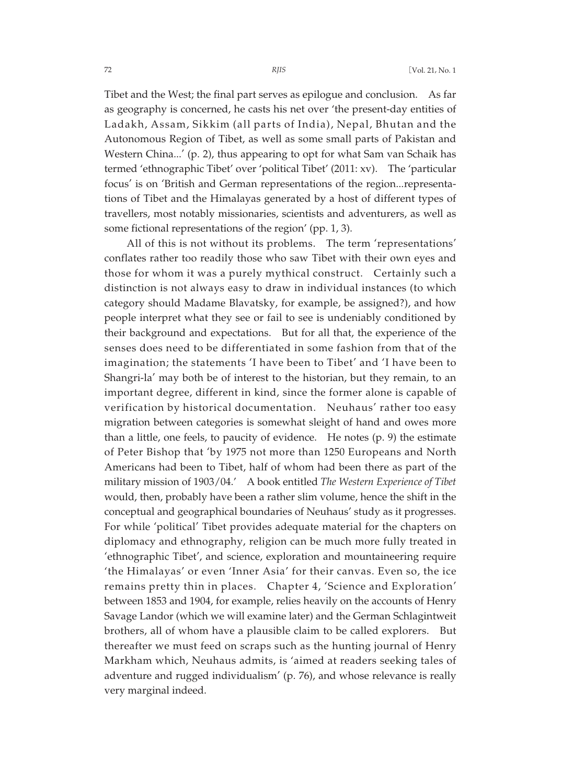Tibet and the West; the final part serves as epilogue and conclusion. As far as geography is concerned, he casts his net over 'the present-day entities of Ladakh, Assam, Sikkim (all parts of India), Nepal, Bhutan and the Autonomous Region of Tibet, as well as some small parts of Pakistan and Western China...' (p. 2), thus appearing to opt for what Sam van Schaik has termed 'ethnographic Tibet' over 'political Tibet' (2011: xv). The 'particular focus' is on 'British and German representations of the region...representations of Tibet and the Himalayas generated by a host of different types of travellers, most notably missionaries, scientists and adventurers, as well as some fictional representations of the region' (pp. 1, 3).

All of this is not without its problems. The term 'representations' conflates rather too readily those who saw Tibet with their own eyes and those for whom it was a purely mythical construct. Certainly such a distinction is not always easy to draw in individual instances (to which category should Madame Blavatsky, for example, be assigned?), and how people interpret what they see or fail to see is undeniably conditioned by their background and expectations. But for all that, the experience of the senses does need to be differentiated in some fashion from that of the imagination; the statements 'I have been to Tibet' and 'I have been to Shangri-la' may both be of interest to the historian, but they remain, to an important degree, different in kind, since the former alone is capable of verification by historical documentation. Neuhaus' rather too easy migration between categories is somewhat sleight of hand and owes more than a little, one feels, to paucity of evidence. He notes (p. 9) the estimate of Peter Bishop that 'by 1975 not more than 1250 Europeans and North Americans had been to Tibet, half of whom had been there as part of the military mission of 1903/04.' A book entitled *The Western Experience of Tibet* would, then, probably have been a rather slim volume, hence the shift in the conceptual and geographical boundaries of Neuhaus' study as it progresses. For while 'political' Tibet provides adequate material for the chapters on diplomacy and ethnography, religion can be much more fully treated in 'ethnographic Tibet', and science, exploration and mountaineering require 'the Himalayas' or even 'Inner Asia' for their canvas. Even so, the ice remains pretty thin in places. Chapter 4, 'Science and Exploration' between 1853 and 1904, for example, relies heavily on the accounts of Henry Savage Landor (which we will examine later) and the German Schlagintweit brothers, all of whom have a plausible claim to be called explorers. But thereafter we must feed on scraps such as the hunting journal of Henry Markham which, Neuhaus admits, is 'aimed at readers seeking tales of adventure and rugged individualism' (p. 76), and whose relevance is really very marginal indeed.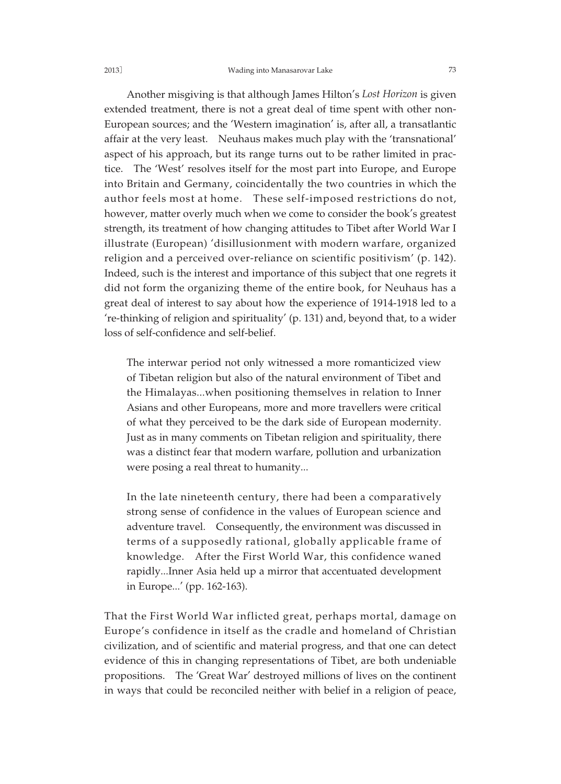### 2013] Wading into Manasarovar Lake 73

Another misgiving is that although James Hilton's *Lost Horizon* is given extended treatment, there is not a great deal of time spent with other non-European sources; and the 'Western imagination' is, after all, a transatlantic affair at the very least. Neuhaus makes much play with the 'transnational' aspect of his approach, but its range turns out to be rather limited in practice. The 'West' resolves itself for the most part into Europe, and Europe into Britain and Germany, coincidentally the two countries in which the author feels most at home. These self-imposed restrictions do not, however, matter overly much when we come to consider the book's greatest strength, its treatment of how changing attitudes to Tibet after World War I illustrate (European) 'disillusionment with modern warfare, organized religion and a perceived over-reliance on scientific positivism' (p. 142). Indeed, such is the interest and importance of this subject that one regrets it did not form the organizing theme of the entire book, for Neuhaus has a great deal of interest to say about how the experience of 1914-1918 led to a 're-thinking of religion and spirituality' (p. 131) and, beyond that, to a wider loss of self-confidence and self-belief.

The interwar period not only witnessed a more romanticized view of Tibetan religion but also of the natural environment of Tibet and the Himalayas...when positioning themselves in relation to Inner Asians and other Europeans, more and more travellers were critical of what they perceived to be the dark side of European modernity. Just as in many comments on Tibetan religion and spirituality, there was a distinct fear that modern warfare, pollution and urbanization were posing a real threat to humanity...

In the late nineteenth century, there had been a comparatively strong sense of confidence in the values of European science and adventure travel. Consequently, the environment was discussed in terms of a supposedly rational, globally applicable frame of knowledge. After the First World War, this confidence waned rapidly...Inner Asia held up a mirror that accentuated development in Europe...' (pp. 162-163).

That the First World War inflicted great, perhaps mortal, damage on Europe's confidence in itself as the cradle and homeland of Christian civilization, and of scientific and material progress, and that one can detect evidence of this in changing representations of Tibet, are both undeniable propositions. The 'Great War' destroyed millions of lives on the continent in ways that could be reconciled neither with belief in a religion of peace,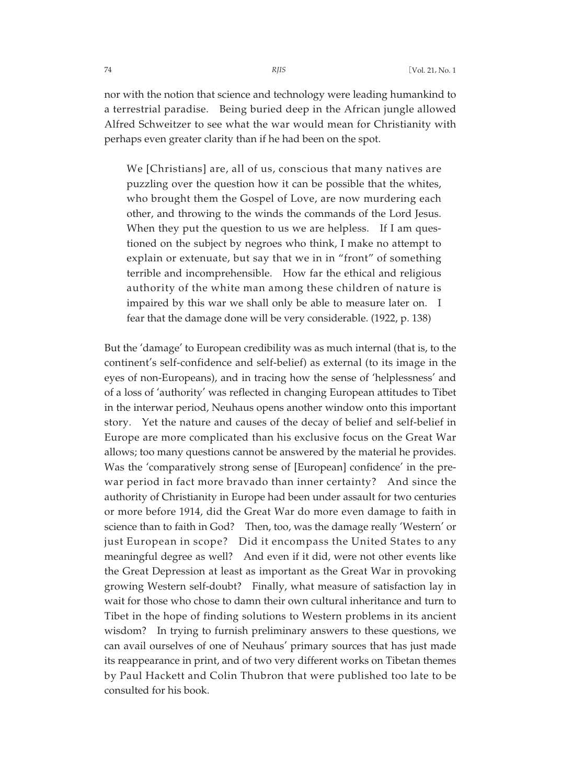nor with the notion that science and technology were leading humankind to a terrestrial paradise. Being buried deep in the African jungle allowed Alfred Schweitzer to see what the war would mean for Christianity with perhaps even greater clarity than if he had been on the spot.

We [Christians] are, all of us, conscious that many natives are puzzling over the question how it can be possible that the whites, who brought them the Gospel of Love, are now murdering each other, and throwing to the winds the commands of the Lord Jesus. When they put the question to us we are helpless. If I am questioned on the subject by negroes who think, I make no attempt to explain or extenuate, but say that we in in "front" of something terrible and incomprehensible. How far the ethical and religious authority of the white man among these children of nature is impaired by this war we shall only be able to measure later on. I fear that the damage done will be very considerable. (1922, p. 138)

But the 'damage' to European credibility was as much internal (that is, to the continent's self-confidence and self-belief) as external (to its image in the eyes of non-Europeans), and in tracing how the sense of 'helplessness' and of a loss of 'authority' was reflected in changing European attitudes to Tibet in the interwar period, Neuhaus opens another window onto this important story. Yet the nature and causes of the decay of belief and self-belief in Europe are more complicated than his exclusive focus on the Great War allows; too many questions cannot be answered by the material he provides. Was the 'comparatively strong sense of [European] confidence' in the prewar period in fact more bravado than inner certainty? And since the authority of Christianity in Europe had been under assault for two centuries or more before 1914, did the Great War do more even damage to faith in science than to faith in God? Then, too, was the damage really 'Western' or just European in scope? Did it encompass the United States to any meaningful degree as well? And even if it did, were not other events like the Great Depression at least as important as the Great War in provoking growing Western self-doubt? Finally, what measure of satisfaction lay in wait for those who chose to damn their own cultural inheritance and turn to Tibet in the hope of finding solutions to Western problems in its ancient wisdom? In trying to furnish preliminary answers to these questions, we can avail ourselves of one of Neuhaus' primary sources that has just made its reappearance in print, and of two very different works on Tibetan themes by Paul Hackett and Colin Thubron that were published too late to be consulted for his book.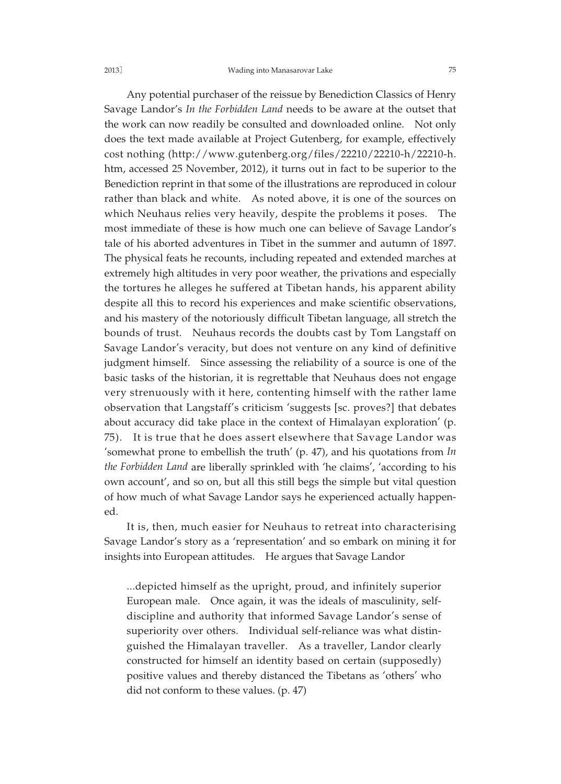Any potential purchaser of the reissue by Benediction Classics of Henry Savage Landor's *In the Forbidden Land* needs to be aware at the outset that the work can now readily be consulted and downloaded online. Not only does the text made available at Project Gutenberg, for example, effectively cost nothing (http://www.gutenberg.org/files/22210/22210-h/22210-h. htm, accessed 25 November, 2012), it turns out in fact to be superior to the Benediction reprint in that some of the illustrations are reproduced in colour rather than black and white. As noted above, it is one of the sources on which Neuhaus relies very heavily, despite the problems it poses. The most immediate of these is how much one can believe of Savage Landor's tale of his aborted adventures in Tibet in the summer and autumn of 1897. The physical feats he recounts, including repeated and extended marches at extremely high altitudes in very poor weather, the privations and especially the tortures he alleges he suffered at Tibetan hands, his apparent ability despite all this to record his experiences and make scientific observations, and his mastery of the notoriously difficult Tibetan language, all stretch the bounds of trust. Neuhaus records the doubts cast by Tom Langstaff on Savage Landor's veracity, but does not venture on any kind of definitive judgment himself. Since assessing the reliability of a source is one of the basic tasks of the historian, it is regrettable that Neuhaus does not engage very strenuously with it here, contenting himself with the rather lame observation that Langstaff's criticism 'suggests [sc. proves?] that debates about accuracy did take place in the context of Himalayan exploration' (p.

75). It is true that he does assert elsewhere that Savage Landor was 'somewhat prone to embellish the truth' (p. 47), and his quotations from *In the Forbidden Land* are liberally sprinkled with 'he claims', 'according to his own account', and so on, but all this still begs the simple but vital question of how much of what Savage Landor says he experienced actually happened.

It is, then, much easier for Neuhaus to retreat into characterising Savage Landor's story as a 'representation' and so embark on mining it for insights into European attitudes. He argues that Savage Landor

...depicted himself as the upright, proud, and infinitely superior European male. Once again, it was the ideals of masculinity, selfdiscipline and authority that informed Savage Landor's sense of superiority over others. Individual self-reliance was what distinguished the Himalayan traveller. As a traveller, Landor clearly constructed for himself an identity based on certain (supposedly) positive values and thereby distanced the Tibetans as 'others' who did not conform to these values. (p. 47)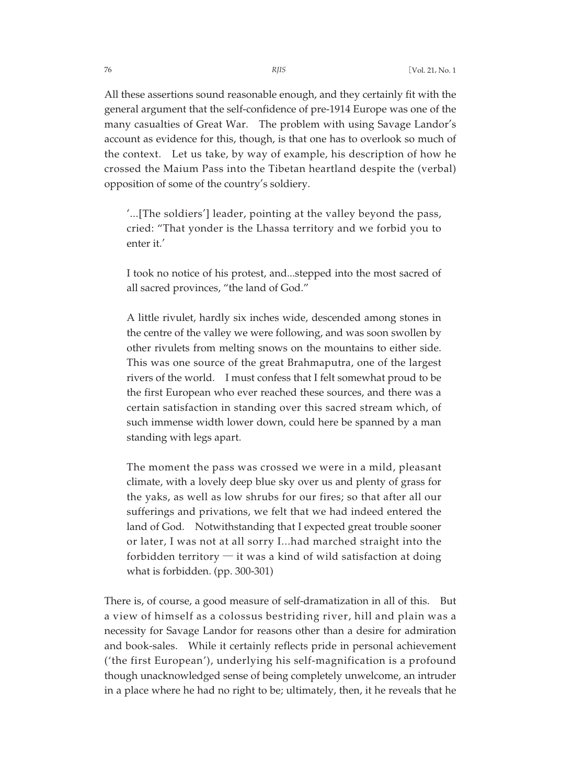All these assertions sound reasonable enough, and they certainly fit with the general argument that the self-confidence of pre-1914 Europe was one of the many casualties of Great War. The problem with using Savage Landor's account as evidence for this, though, is that one has to overlook so much of the context. Let us take, by way of example, his description of how he crossed the Maium Pass into the Tibetan heartland despite the (verbal) opposition of some of the country's soldiery.

'...[The soldiers'] leader, pointing at the valley beyond the pass, cried: "That yonder is the Lhassa territory and we forbid you to enter it.'

I took no notice of his protest, and...stepped into the most sacred of all sacred provinces, "the land of God."

A little rivulet, hardly six inches wide, descended among stones in the centre of the valley we were following, and was soon swollen by other rivulets from melting snows on the mountains to either side. This was one source of the great Brahmaputra, one of the largest rivers of the world. I must confess that I felt somewhat proud to be the first European who ever reached these sources, and there was a certain satisfaction in standing over this sacred stream which, of such immense width lower down, could here be spanned by a man standing with legs apart.

The moment the pass was crossed we were in a mild, pleasant climate, with a lovely deep blue sky over us and plenty of grass for the yaks, as well as low shrubs for our fires; so that after all our sufferings and privations, we felt that we had indeed entered the land of God. Notwithstanding that I expected great trouble sooner or later, I was not at all sorry I...had marched straight into the forbidden territory  $-$  it was a kind of wild satisfaction at doing what is forbidden. (pp. 300-301)

There is, of course, a good measure of self-dramatization in all of this. But a view of himself as a colossus bestriding river, hill and plain was a necessity for Savage Landor for reasons other than a desire for admiration and book-sales. While it certainly reflects pride in personal achievement ('the first European'), underlying his self-magnification is a profound though unacknowledged sense of being completely unwelcome, an intruder in a place where he had no right to be; ultimately, then, it he reveals that he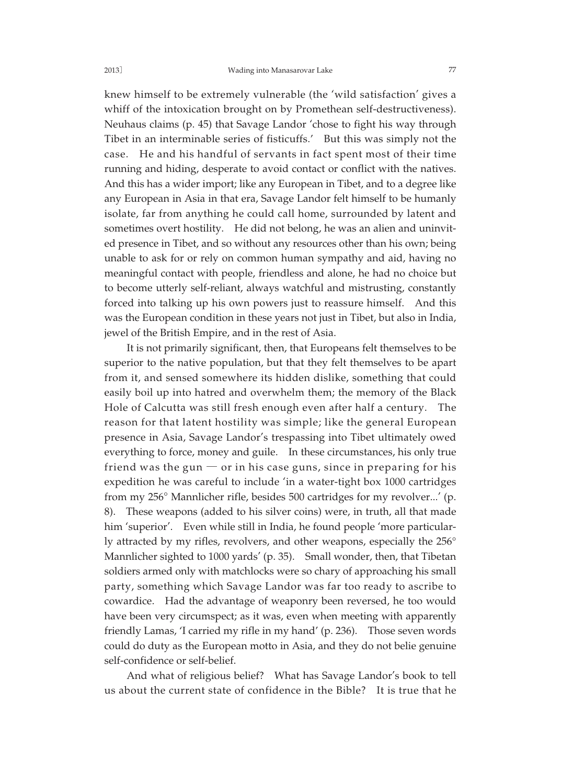knew himself to be extremely vulnerable (the 'wild satisfaction' gives a whiff of the intoxication brought on by Promethean self-destructiveness). Neuhaus claims (p. 45) that Savage Landor 'chose to fight his way through Tibet in an interminable series of fisticuffs.' But this was simply not the case. He and his handful of servants in fact spent most of their time running and hiding, desperate to avoid contact or conflict with the natives. And this has a wider import; like any European in Tibet, and to a degree like any European in Asia in that era, Savage Landor felt himself to be humanly isolate, far from anything he could call home, surrounded by latent and sometimes overt hostility. He did not belong, he was an alien and uninvited presence in Tibet, and so without any resources other than his own; being unable to ask for or rely on common human sympathy and aid, having no meaningful contact with people, friendless and alone, he had no choice but to become utterly self-reliant, always watchful and mistrusting, constantly forced into talking up his own powers just to reassure himself. And this was the European condition in these years not just in Tibet, but also in India, jewel of the British Empire, and in the rest of Asia.

It is not primarily significant, then, that Europeans felt themselves to be superior to the native population, but that they felt themselves to be apart from it, and sensed somewhere its hidden dislike, something that could easily boil up into hatred and overwhelm them; the memory of the Black Hole of Calcutta was still fresh enough even after half a century. The reason for that latent hostility was simple; like the general European presence in Asia, Savage Landor's trespassing into Tibet ultimately owed everything to force, money and guile. In these circumstances, his only true friend was the gun  $-$  or in his case guns, since in preparing for his expedition he was careful to include 'in a water-tight box 1000 cartridges from my 256° Mannlicher rifle, besides 500 cartridges for my revolver...' (p. 8). These weapons (added to his silver coins) were, in truth, all that made him 'superior'. Even while still in India, he found people 'more particularly attracted by my rifles, revolvers, and other weapons, especially the 256° Mannlicher sighted to 1000 yards' (p. 35). Small wonder, then, that Tibetan soldiers armed only with matchlocks were so chary of approaching his small party, something which Savage Landor was far too ready to ascribe to cowardice. Had the advantage of weaponry been reversed, he too would have been very circumspect; as it was, even when meeting with apparently friendly Lamas, 'I carried my rifle in my hand' (p. 236). Those seven words could do duty as the European motto in Asia, and they do not belie genuine self-confidence or self-belief.

And what of religious belief? What has Savage Landor's book to tell us about the current state of confidence in the Bible? It is true that he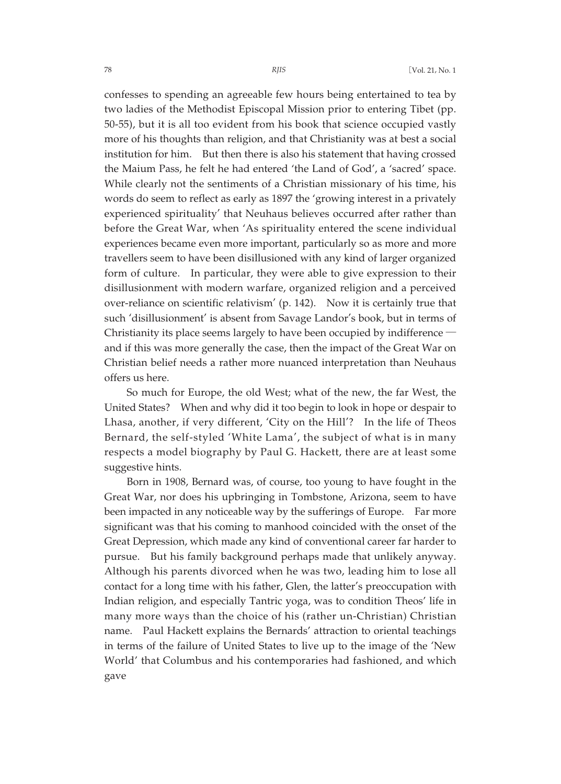confesses to spending an agreeable few hours being entertained to tea by two ladies of the Methodist Episcopal Mission prior to entering Tibet (pp. 50-55), but it is all too evident from his book that science occupied vastly more of his thoughts than religion, and that Christianity was at best a social institution for him. But then there is also his statement that having crossed the Maium Pass, he felt he had entered 'the Land of God', a 'sacred' space. While clearly not the sentiments of a Christian missionary of his time, his words do seem to reflect as early as 1897 the 'growing interest in a privately experienced spirituality' that Neuhaus believes occurred after rather than before the Great War, when 'As spirituality entered the scene individual experiences became even more important, particularly so as more and more travellers seem to have been disillusioned with any kind of larger organized form of culture. In particular, they were able to give expression to their disillusionment with modern warfare, organized religion and a perceived over-reliance on scientific relativism' (p. 142). Now it is certainly true that such 'disillusionment' is absent from Savage Landor's book, but in terms of Christianity its place seems largely to have been occupied by indifference and if this was more generally the case, then the impact of the Great War on Christian belief needs a rather more nuanced interpretation than Neuhaus offers us here.

So much for Europe, the old West; what of the new, the far West, the United States? When and why did it too begin to look in hope or despair to Lhasa, another, if very different, 'City on the Hill'? In the life of Theos Bernard, the self-styled 'White Lama', the subject of what is in many respects a model biography by Paul G. Hackett, there are at least some suggestive hints.

Born in 1908, Bernard was, of course, too young to have fought in the Great War, nor does his upbringing in Tombstone, Arizona, seem to have been impacted in any noticeable way by the sufferings of Europe. Far more significant was that his coming to manhood coincided with the onset of the Great Depression, which made any kind of conventional career far harder to pursue. But his family background perhaps made that unlikely anyway. Although his parents divorced when he was two, leading him to lose all contact for a long time with his father, Glen, the latter's preoccupation with Indian religion, and especially Tantric yoga, was to condition Theos' life in many more ways than the choice of his (rather un-Christian) Christian name. Paul Hackett explains the Bernards' attraction to oriental teachings in terms of the failure of United States to live up to the image of the 'New World' that Columbus and his contemporaries had fashioned, and which gave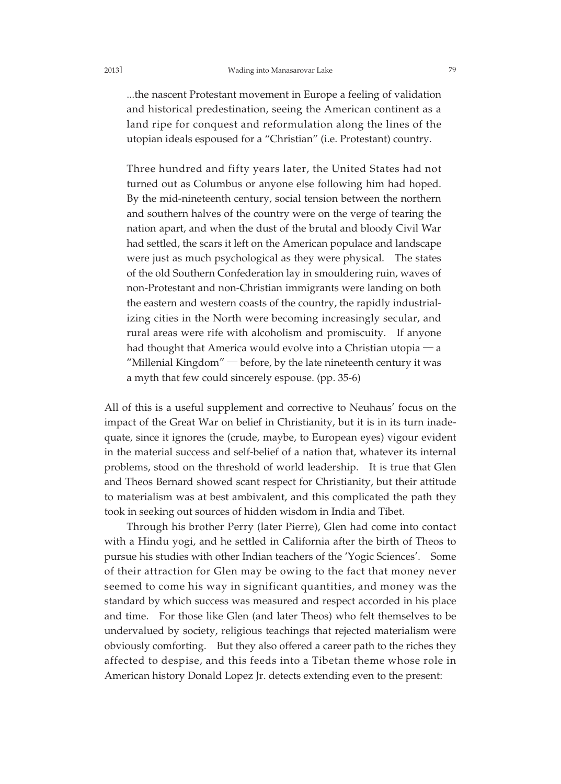### 2013] Wading into Manasarovar Lake 79

...the nascent Protestant movement in Europe a feeling of validation and historical predestination, seeing the American continent as a land ripe for conquest and reformulation along the lines of the utopian ideals espoused for a "Christian" (i.e. Protestant) country.

Three hundred and fifty years later, the United States had not turned out as Columbus or anyone else following him had hoped. By the mid-nineteenth century, social tension between the northern and southern halves of the country were on the verge of tearing the nation apart, and when the dust of the brutal and bloody Civil War had settled, the scars it left on the American populace and landscape were just as much psychological as they were physical. The states of the old Southern Confederation lay in smouldering ruin, waves of non-Protestant and non-Christian immigrants were landing on both the eastern and western coasts of the country, the rapidly industrializing cities in the North were becoming increasingly secular, and rural areas were rife with alcoholism and promiscuity. If anyone had thought that America would evolve into a Christian utopia  $-a$ "Millenial Kingdom" ─ before, by the late nineteenth century it was a myth that few could sincerely espouse. (pp. 35-6)

All of this is a useful supplement and corrective to Neuhaus' focus on the impact of the Great War on belief in Christianity, but it is in its turn inadequate, since it ignores the (crude, maybe, to European eyes) vigour evident in the material success and self-belief of a nation that, whatever its internal problems, stood on the threshold of world leadership. It is true that Glen and Theos Bernard showed scant respect for Christianity, but their attitude to materialism was at best ambivalent, and this complicated the path they took in seeking out sources of hidden wisdom in India and Tibet.

Through his brother Perry (later Pierre), Glen had come into contact with a Hindu yogi, and he settled in California after the birth of Theos to pursue his studies with other Indian teachers of the 'Yogic Sciences'. Some of their attraction for Glen may be owing to the fact that money never seemed to come his way in significant quantities, and money was the standard by which success was measured and respect accorded in his place and time. For those like Glen (and later Theos) who felt themselves to be undervalued by society, religious teachings that rejected materialism were obviously comforting. But they also offered a career path to the riches they affected to despise, and this feeds into a Tibetan theme whose role in American history Donald Lopez Jr. detects extending even to the present: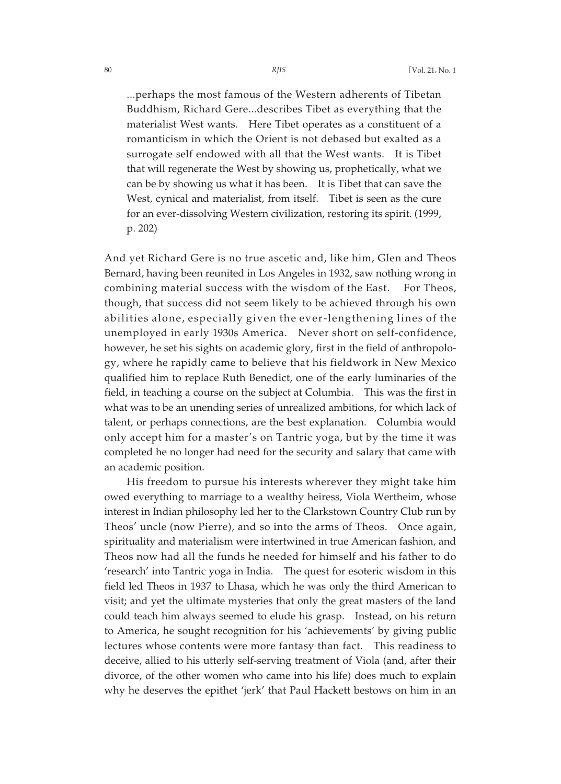...perhaps the most famous of the Western adherents of Tibetan Buddhism, Richard Gere...describes Tibet as everything that the materialist West wants. Here Tibet operates as a constituent of a romanticism in which the Orient is not debased but exalted as a surrogate self endowed with all that the West wants. It is Tibet that will regenerate the West by showing us, prophetically, what we can be by showing us what it has been. It is Tibet that can save the West, cynical and materialist, from itself. Tibet is seen as the cure for an ever-dissolving Western civilization, restoring its spirit. (1999, p. 202)

And yet Richard Gere is no true ascetic and, like him, Glen and Theos Bernard, having been reunited in Los Angeles in 1932, saw nothing wrong in combining material success with the wisdom of the East. For Theos, though, that success did not seem likely to be achieved through his own abilities alone, especially given the ever-lengthening lines of the unemployed in early 1930s America. Never short on self-confidence, however, he set his sights on academic glory, first in the field of anthropology, where he rapidly came to believe that his fieldwork in New Mexico qualified him to replace Ruth Benedict, one of the early luminaries of the field, in teaching a course on the subject at Columbia. This was the first in what was to be an unending series of unrealized ambitions, for which lack of talent, or perhaps connections, are the best explanation. Columbia would only accept him for a master's on Tantric yoga, but by the time it was completed he no longer had need for the security and salary that came with an academic position.

His freedom to pursue his interests wherever they might take him owed everything to marriage to a wealthy heiress, Viola Wertheim, whose interest in Indian philosophy led her to the Clarkstown Country Club run by Theos' uncle (now Pierre), and so into the arms of Theos. Once again, spirituality and materialism were intertwined in true American fashion, and Theos now had all the funds he needed for himself and his father to do 'research' into Tantric yoga in India. The quest for esoteric wisdom in this field led Theos in 1937 to Lhasa, which he was only the third American to visit; and yet the ultimate mysteries that only the great masters of the land could teach him always seemed to elude his grasp. Instead, on his return to America, he sought recognition for his 'achievements' by giving public lectures whose contents were more fantasy than fact. This readiness to deceive, allied to his utterly self-serving treatment of Viola (and, after their divorce, of the other women who came into his life) does much to explain why he deserves the epithet 'jerk' that Paul Hackett bestows on him in an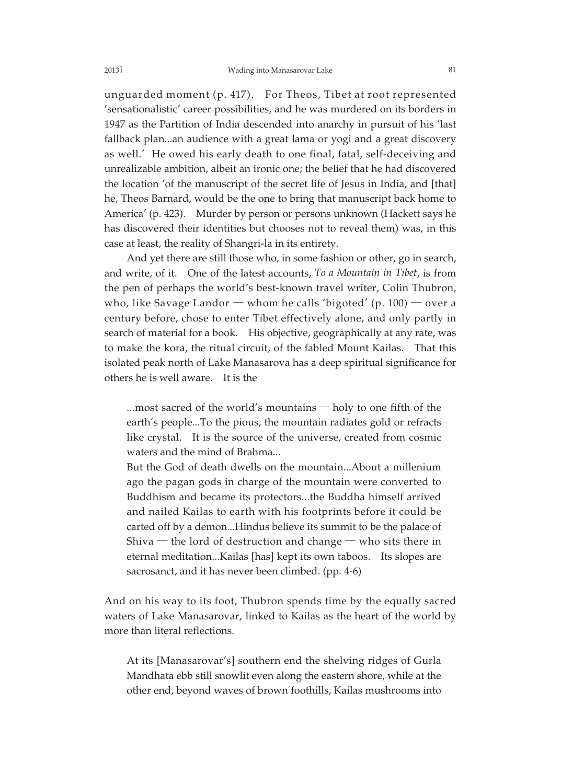unguarded moment (p. 417). For Theos, Tibet at root represented 'sensationalistic' career possibilities, and he was murdered on its borders in 1947 as the Partition of India descended into anarchy in pursuit of his 'last fallback plan...an audience with a great lama or yogi and a great discovery as well.' He owed his early death to one final, fatal, self-deceiving and unrealizable ambition, albeit an ironic one; the belief that he had discovered the location 'of the manuscript of the secret life of Jesus in India, and [that] he, Theos Barnard, would be the one to bring that manuscript back home to America' (p. 423). Murder by person or persons unknown (Hackett says he has discovered their identities but chooses not to reveal them) was, in this case at least, the reality of Shangri-la in its entirety.

And yet there are still those who, in some fashion or other, go in search, and write, of it. One of the latest accounts, *To a Mountain in Tibet*, is from the pen of perhaps the world's best-known travel writer, Colin Thubron, who, like Savage Landor  $-$  whom he calls 'bigoted' (p. 100)  $-$  over a century before, chose to enter Tibet effectively alone, and only partly in search of material for a book. His objective, geographically at any rate, was to make the kora, the ritual circuit, of the fabled Mount Kailas. That this isolated peak north of Lake Manasarova has a deep spiritual significance for others he is well aware. It is the

...most sacred of the world's mountains ─ holy to one fifth of the earth's people...To the pious, the mountain radiates gold or refracts like crystal. It is the source of the universe, created from cosmic waters and the mind of Brahma...

But the God of death dwells on the mountain...About a millenium ago the pagan gods in charge of the mountain were converted to Buddhism and became its protectors...the Buddha himself arrived and nailed Kailas to earth with his footprints before it could be carted off by a demon...Hindus believe its summit to be the palace of Shiva  $-$  the lord of destruction and change  $-$  who sits there in eternal meditation...Kailas [has] kept its own taboos. Its slopes are sacrosanct, and it has never been climbed. (pp. 4-6)

And on his way to its foot, Thubron spends time by the equally sacred waters of Lake Manasarovar, linked to Kailas as the heart of the world by more than literal reflections.

At its [Manasarovar's] southern end the shelving ridges of Gurla Mandhata ebb still snowlit even along the eastern shore, while at the other end, beyond waves of brown foothills, Kailas mushrooms into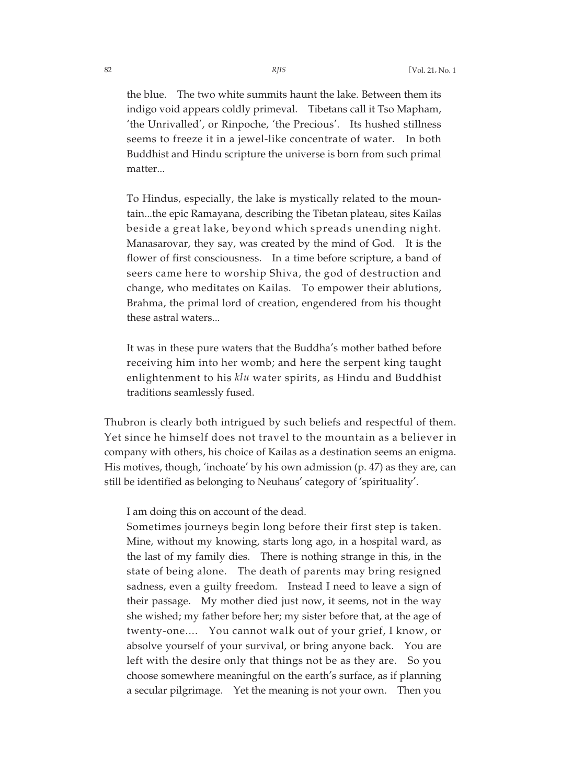the blue. The two white summits haunt the lake. Between them its indigo void appears coldly primeval. Tibetans call it Tso Mapham, 'the Unrivalled', or Rinpoche, 'the Precious'. Its hushed stillness seems to freeze it in a jewel-like concentrate of water. In both Buddhist and Hindu scripture the universe is born from such primal matter...

To Hindus, especially, the lake is mystically related to the mountain...the epic Ramayana, describing the Tibetan plateau, sites Kailas beside a great lake, beyond which spreads unending night. Manasarovar, they say, was created by the mind of God. It is the flower of first consciousness. In a time before scripture, a band of seers came here to worship Shiva, the god of destruction and change, who meditates on Kailas. To empower their ablutions, Brahma, the primal lord of creation, engendered from his thought these astral waters...

It was in these pure waters that the Buddha's mother bathed before receiving him into her womb; and here the serpent king taught enlightenment to his *klu* water spirits, as Hindu and Buddhist traditions seamlessly fused.

Thubron is clearly both intrigued by such beliefs and respectful of them. Yet since he himself does not travel to the mountain as a believer in company with others, his choice of Kailas as a destination seems an enigma. His motives, though, 'inchoate' by his own admission (p. 47) as they are, can still be identified as belonging to Neuhaus' category of 'spirituality'.

I am doing this on account of the dead.

Sometimes journeys begin long before their first step is taken. Mine, without my knowing, starts long ago, in a hospital ward, as the last of my family dies. There is nothing strange in this, in the state of being alone. The death of parents may bring resigned sadness, even a guilty freedom. Instead I need to leave a sign of their passage. My mother died just now, it seems, not in the way she wished; my father before her; my sister before that, at the age of twenty-one.... You cannot walk out of your grief, I know, or absolve yourself of your survival, or bring anyone back. You are left with the desire only that things not be as they are. So you choose somewhere meaningful on the earth's surface, as if planning a secular pilgrimage. Yet the meaning is not your own. Then you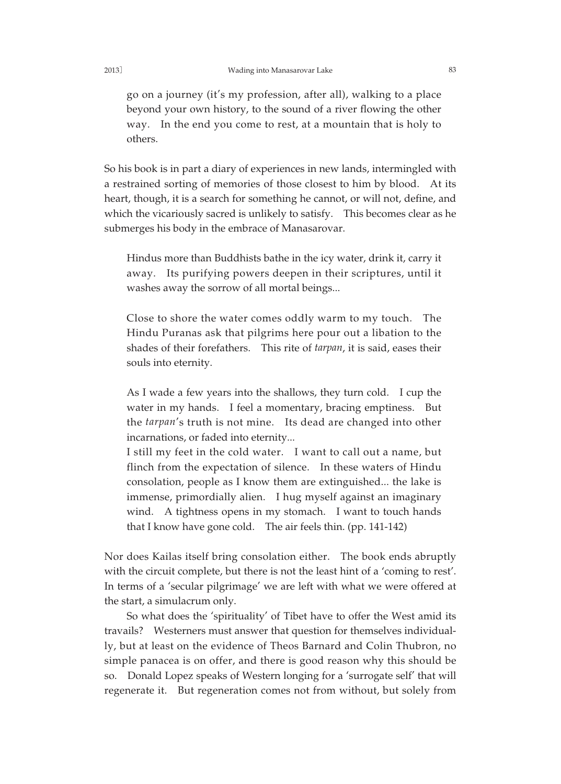go on a journey (it's my profession, after all), walking to a place beyond your own history, to the sound of a river flowing the other way. In the end you come to rest, at a mountain that is holy to others.

So his book is in part a diary of experiences in new lands, intermingled with a restrained sorting of memories of those closest to him by blood. At its heart, though, it is a search for something he cannot, or will not, define, and which the vicariously sacred is unlikely to satisfy. This becomes clear as he submerges his body in the embrace of Manasarovar.

Hindus more than Buddhists bathe in the icy water, drink it, carry it away. Its purifying powers deepen in their scriptures, until it washes away the sorrow of all mortal beings...

Close to shore the water comes oddly warm to my touch. The Hindu Puranas ask that pilgrims here pour out a libation to the shades of their forefathers. This rite of *tarpan*, it is said, eases their souls into eternity.

As I wade a few years into the shallows, they turn cold. I cup the water in my hands. I feel a momentary, bracing emptiness. But the *tarpan*'s truth is not mine. Its dead are changed into other incarnations, or faded into eternity...

I still my feet in the cold water. I want to call out a name, but flinch from the expectation of silence. In these waters of Hindu consolation, people as I know them are extinguished... the lake is immense, primordially alien. I hug myself against an imaginary wind. A tightness opens in my stomach. I want to touch hands that I know have gone cold. The air feels thin. (pp. 141-142)

Nor does Kailas itself bring consolation either. The book ends abruptly with the circuit complete, but there is not the least hint of a 'coming to rest'. In terms of a 'secular pilgrimage' we are left with what we were offered at the start, a simulacrum only.

So what does the 'spirituality' of Tibet have to offer the West amid its travails? Westerners must answer that question for themselves individually, but at least on the evidence of Theos Barnard and Colin Thubron, no simple panacea is on offer, and there is good reason why this should be so. Donald Lopez speaks of Western longing for a 'surrogate self' that will regenerate it. But regeneration comes not from without, but solely from